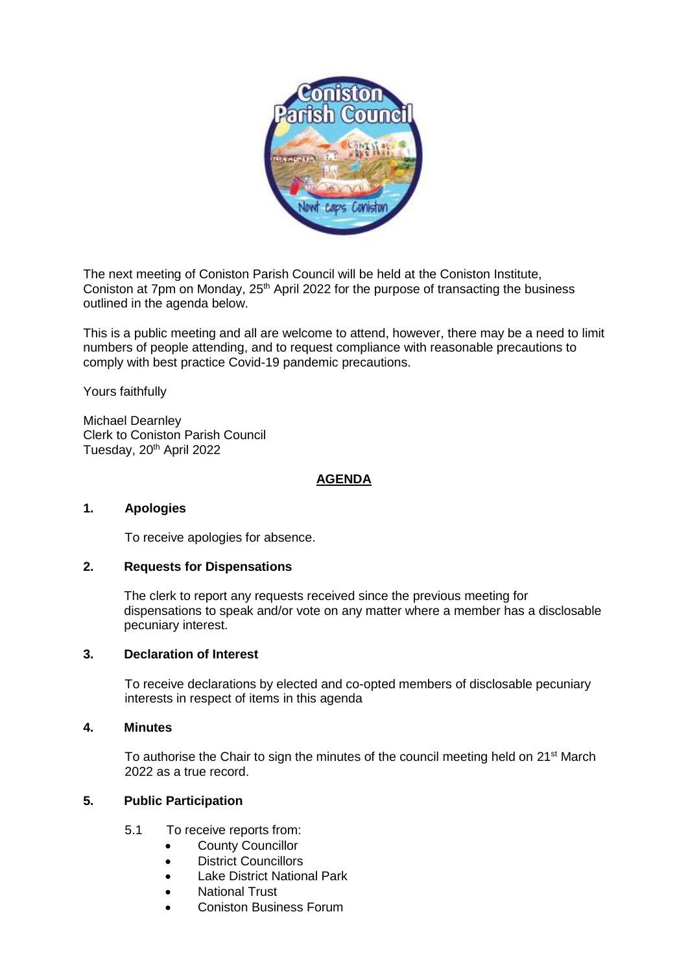

The next meeting of Coniston Parish Council will be held at the Coniston Institute, Coniston at 7pm on Monday, 25<sup>th</sup> April 2022 for the purpose of transacting the business outlined in the agenda below.

This is a public meeting and all are welcome to attend, however, there may be a need to limit numbers of people attending, and to request compliance with reasonable precautions to comply with best practice Covid-19 pandemic precautions.

Yours faithfully

Michael Dearnley Clerk to Coniston Parish Council Tuesday, 20<sup>th</sup> April 2022

## **AGENDA**

### **1. Apologies**

To receive apologies for absence.

## **2. Requests for Dispensations**

The clerk to report any requests received since the previous meeting for dispensations to speak and/or vote on any matter where a member has a disclosable pecuniary interest.

#### **3. Declaration of Interest**

To receive declarations by elected and co-opted members of disclosable pecuniary interests in respect of items in this agenda

#### **4. Minutes**

To authorise the Chair to sign the minutes of the council meeting held on 21<sup>st</sup> March 2022 as a true record.

### **5. Public Participation**

- 5.1 To receive reports from:
	- County Councillor
	- District Councillors
	- Lake District National Park
	- National Trust
	- Coniston Business Forum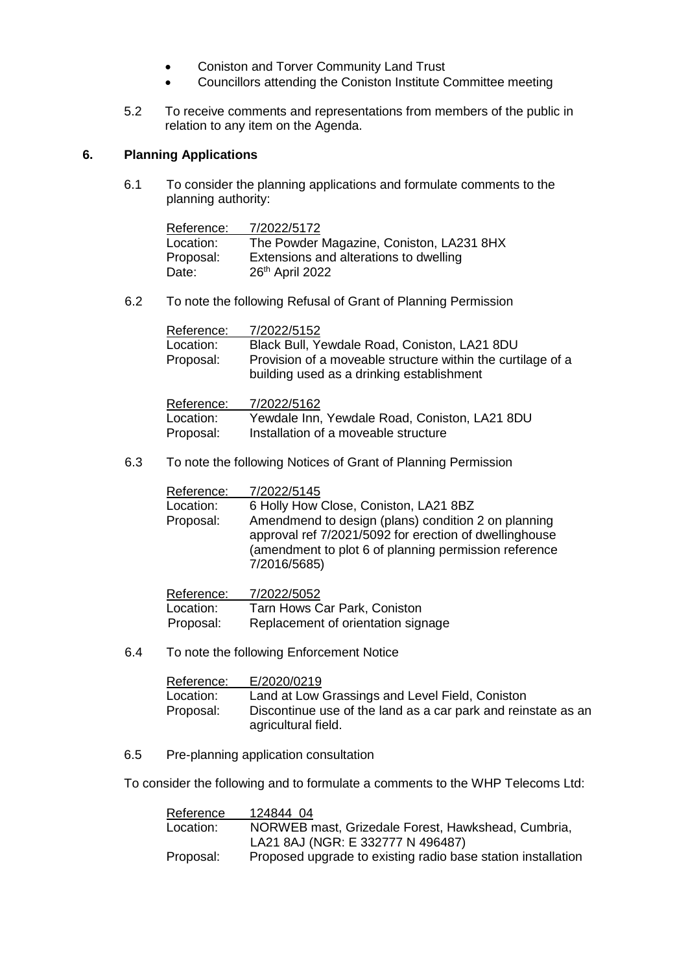- **•** Coniston and Torver Community Land Trust
- Councillors attending the Coniston Institute Committee meeting
- 5.2 To receive comments and representations from members of the public in relation to any item on the Agenda.

## **6. Planning Applications**

6.1 To consider the planning applications and formulate comments to the planning authority:

| Reference: | 7/2022/5172                              |
|------------|------------------------------------------|
| Location:  | The Powder Magazine, Coniston, LA231 8HX |
| Proposal:  | Extensions and alterations to dwelling   |
| Date:      | 26th April 2022                          |

6.2 To note the following Refusal of Grant of Planning Permission

| Reference: | 7/2022/5152                                                                                              |
|------------|----------------------------------------------------------------------------------------------------------|
| Location:  | Black Bull, Yewdale Road, Coniston, LA21 8DU                                                             |
| Proposal:  | Provision of a moveable structure within the curtilage of a<br>building used as a drinking establishment |

| Reference: | 7/2022/5162                                   |
|------------|-----------------------------------------------|
| Location:  | Yewdale Inn, Yewdale Road, Coniston, LA21 8DU |
| Proposal:  | Installation of a moveable structure          |

6.3 To note the following Notices of Grant of Planning Permission

| Reference:             | 7/2022/5145                                                                                                                                                                                                                     |
|------------------------|---------------------------------------------------------------------------------------------------------------------------------------------------------------------------------------------------------------------------------|
| Location:<br>Proposal: | 6 Holly How Close, Coniston, LA21 8BZ<br>Amendmend to design (plans) condition 2 on planning<br>approval ref 7/2021/5092 for erection of dwellinghouse<br>(amendment to plot 6 of planning permission reference<br>7/2016/5685) |

| Reference: | 7/2022/5052                        |
|------------|------------------------------------|
| Location:  | Tarn Hows Car Park, Coniston       |
| Proposal:  | Replacement of orientation signage |

6.4 To note the following Enforcement Notice

| Reference: | E/2020/0219                                                                          |
|------------|--------------------------------------------------------------------------------------|
| Location:  | Land at Low Grassings and Level Field, Coniston                                      |
| Proposal:  | Discontinue use of the land as a car park and reinstate as an<br>agricultural field. |

6.5 Pre-planning application consultation

To consider the following and to formulate a comments to the WHP Telecoms Ltd:

| Reference | 124844 04                                                    |
|-----------|--------------------------------------------------------------|
| Location: | NORWEB mast, Grizedale Forest, Hawkshead, Cumbria,           |
|           | LA21 8AJ (NGR: E 332777 N 496487)                            |
| Proposal: | Proposed upgrade to existing radio base station installation |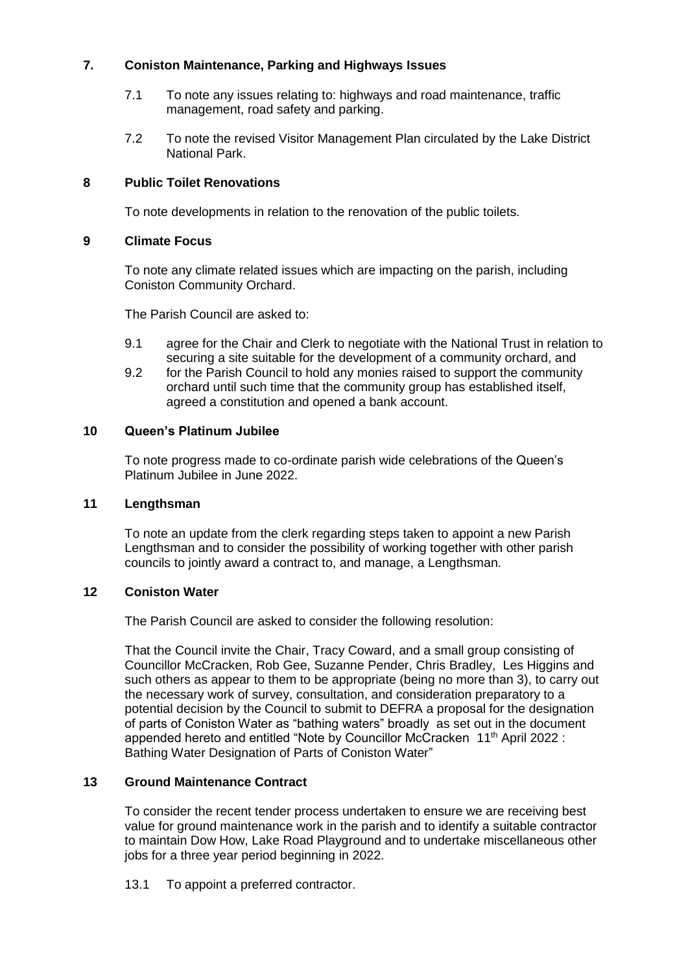## **7. Coniston Maintenance, Parking and Highways Issues**

- 7.1 To note any issues relating to: highways and road maintenance, traffic management, road safety and parking.
- 7.2 To note the revised Visitor Management Plan circulated by the Lake District National Park.

## **8 Public Toilet Renovations**

To note developments in relation to the renovation of the public toilets.

## **9 Climate Focus**

To note any climate related issues which are impacting on the parish, including Coniston Community Orchard.

The Parish Council are asked to:

- 9.1 agree for the Chair and Clerk to negotiate with the National Trust in relation to securing a site suitable for the development of a community orchard, and
- 9.2 for the Parish Council to hold any monies raised to support the community orchard until such time that the community group has established itself, agreed a constitution and opened a bank account.

## **10 Queen's Platinum Jubilee**

To note progress made to co-ordinate parish wide celebrations of the Queen's Platinum Jubilee in June 2022.

### **11 Lengthsman**

To note an update from the clerk regarding steps taken to appoint a new Parish Lengthsman and to consider the possibility of working together with other parish councils to jointly award a contract to, and manage, a Lengthsman.

# **12 Coniston Water**

The Parish Council are asked to consider the following resolution:

That the Council invite the Chair, Tracy Coward, and a small group consisting of Councillor McCracken, Rob Gee, Suzanne Pender, Chris Bradley, Les Higgins and such others as appear to them to be appropriate (being no more than 3), to carry out the necessary work of survey, consultation, and consideration preparatory to a potential decision by the Council to submit to DEFRA a proposal for the designation of parts of Coniston Water as "bathing waters" broadly as set out in the document appended hereto and entitled "Note by Councillor McCracken 11<sup>th</sup> April 2022 : Bathing Water Designation of Parts of Coniston Water"

# **13 Ground Maintenance Contract**

To consider the recent tender process undertaken to ensure we are receiving best value for ground maintenance work in the parish and to identify a suitable contractor to maintain Dow How, Lake Road Playground and to undertake miscellaneous other jobs for a three year period beginning in 2022.

13.1 To appoint a preferred contractor.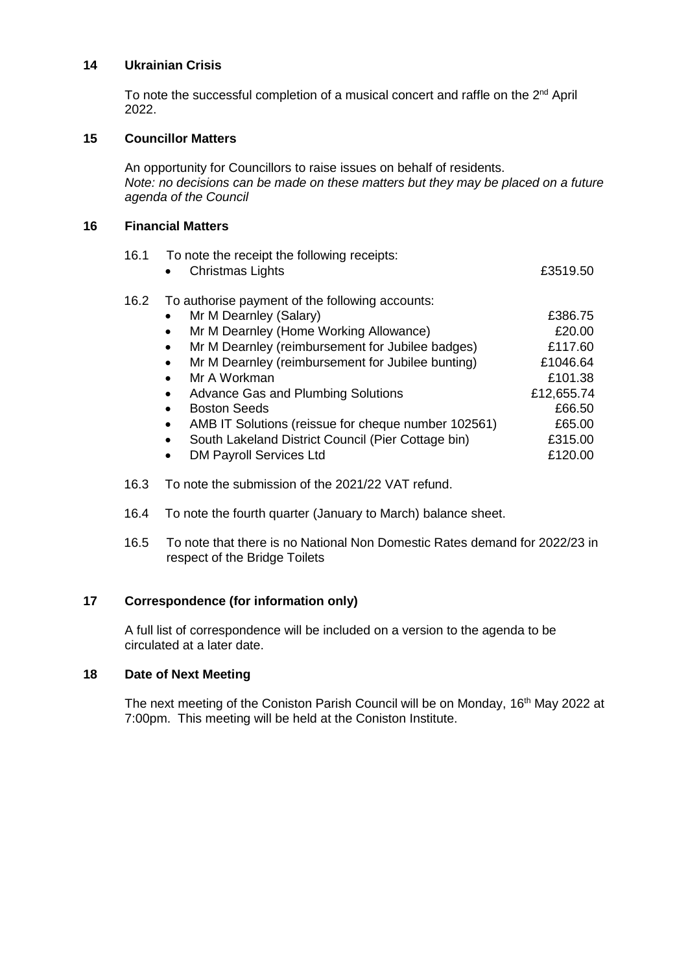#### **14 Ukrainian Crisis**

To note the successful completion of a musical concert and raffle on the 2<sup>nd</sup> April 2022.

### **15 Councillor Matters**

An opportunity for Councillors to raise issues on behalf of residents. *Note: no decisions can be made on these matters but they may be placed on a future agenda of the Council*

### **16 Financial Matters**

| 16.2<br>To authorise payment of the following accounts:                                                                                                                                                                                                                                          |                                                                   |
|--------------------------------------------------------------------------------------------------------------------------------------------------------------------------------------------------------------------------------------------------------------------------------------------------|-------------------------------------------------------------------|
| Mr M Dearnley (Salary)<br>Mr M Dearnley (Home Working Allowance)<br>$\bullet$<br>Mr M Dearnley (reimbursement for Jubilee badges)<br>$\bullet$<br>Mr M Dearnley (reimbursement for Jubilee bunting)<br>$\bullet$<br>Mr A Workman<br>$\bullet$<br>Advance Gas and Plumbing Solutions<br>$\bullet$ | £386.75<br>£20.00<br>£117.60<br>£1046.64<br>£101.38<br>£12,655.74 |
| <b>Boston Seeds</b><br>$\bullet$<br>AMB IT Solutions (reissue for cheque number 102561)<br>$\bullet$<br>South Lakeland District Council (Pier Cottage bin)<br>$\bullet$<br><b>DM Payroll Services Ltd</b><br>$\bullet$                                                                           | £66.50<br>£65.00<br>£315.00<br>£120.00                            |

- 16.3 To note the submission of the 2021/22 VAT refund.
- 16.4 To note the fourth quarter (January to March) balance sheet.
- 16.5 To note that there is no National Non Domestic Rates demand for 2022/23 in respect of the Bridge Toilets

### **17 Correspondence (for information only)**

A full list of correspondence will be included on a version to the agenda to be circulated at a later date.

## **18 Date of Next Meeting**

The next meeting of the Coniston Parish Council will be on Monday, 16<sup>th</sup> May 2022 at 7:00pm. This meeting will be held at the Coniston Institute.